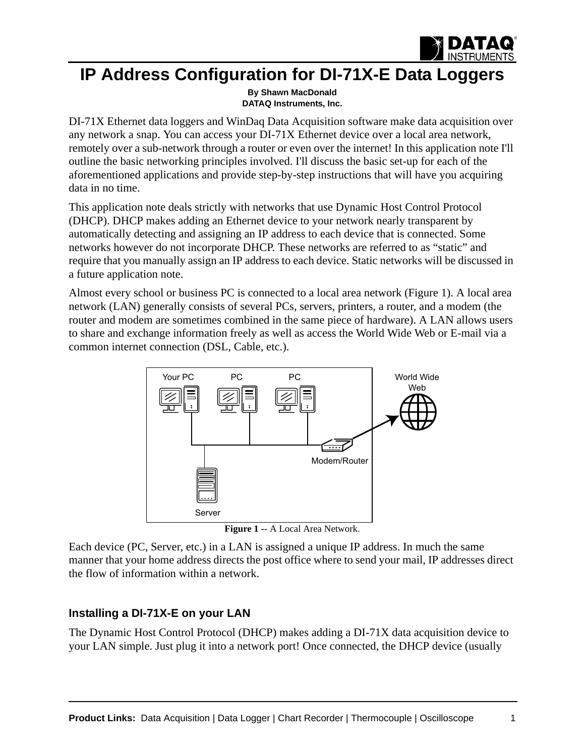

# **IP Address Configuration for DI-71X-E Data Loggers**

**By Shawn MacDonald [DATAQ Instruments, Inc.](http://www.dataq.com)**

DI-71X Ethernet data loggers and WinDaq Data Acquisition software make data acquisition over any network a snap. You can access your DI-71X Ethernet device over a local area network, remotely over a sub-network through a router or even over the internet! In this application note I'll outline the basic networking principles involved. I'll discuss the basic set-up for each of the aforementioned applications and provide step-by-step instructions that will have you acquiring data in no time.

This application note deals strictly with networks that use Dynamic Host Control Protocol (DHCP). DHCP makes adding an Ethernet device to your network nearly transparent by automatically detecting and assigning an IP address to each device that is connected. Some networks however do not incorporate DHCP. These networks are referred to as "static" and require that you manually assign an IP address to each device. Static networks will be discussed in a future application note.

Almost every school or business PC is connected to a local area network (Figure 1). A local area network (LAN) generally consists of several PCs, servers, printers, a router, and a modem (the router and modem are sometimes combined in the same piece of hardware). A LAN allows users to share and exchange information freely as well as access the World Wide Web or E-mail via a common internet connection (DSL, Cable, etc.).



**Figure 1 --** A Local Area Network.

Each device (PC, Server, etc.) in a LAN is assigned a unique IP address. In much the same manner that your home address directs the post office where to send your mail, IP addresses direct the flow of information within a network.

# **Installing a DI-71X-E on your LAN**

The Dynamic Host Control Protocol (DHCP) makes adding a DI-71X data acquisition device to your LAN simple. Just plug it into a network port! Once connected, the DHCP device (usually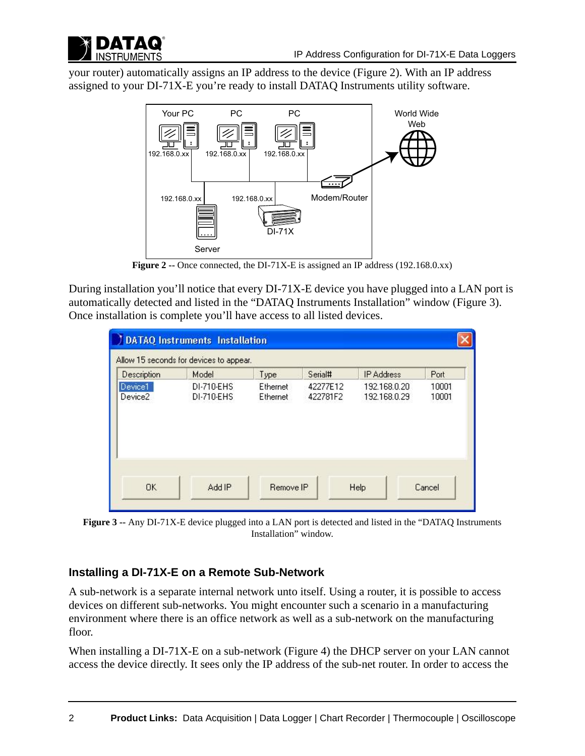

your router) automatically assigns an IP address to the device (Figure 2). With an IP address assigned to your DI-71X-E you're ready to install DATAQ Instruments utility software.



**Figure 2 --** Once connected, the DI-71X-E is assigned an IP address (192.168.0.xx)

During installation you'll notice that every DI-71X-E device you have plugged into a LAN port is automatically detected and listed in the "DATAQ Instruments Installation" window (Figure 3). Once installation is complete you'll have access to all listed devices.

|                                | <b>DATAQ Instruments Installation</b><br>Allow 15 seconds for devices to appear. |                             |                      |                              |                |  |
|--------------------------------|----------------------------------------------------------------------------------|-----------------------------|----------------------|------------------------------|----------------|--|
| Description                    | Model                                                                            | Type                        | Serial#              | <b>IP Address</b>            | Port           |  |
| Device1<br>Device <sub>2</sub> | DI-710-EHS<br>DI-710-EHS                                                         | Ethernet<br><b>Ethernet</b> | 42277E12<br>422781F2 | 192.168.0.20<br>192.168.0.29 | 10001<br>10001 |  |
| <b>OK</b>                      | Add IP                                                                           | Remove IP                   |                      | Help                         | Cancel         |  |

**Figure 3 --** Any DI-71X-E device plugged into a LAN port is detected and listed in the "DATAQ Instruments Installation" window.

### **Installing a DI-71X-E on a Remote Sub-Network**

A sub-network is a separate internal network unto itself. Using a router, it is possible to access devices on different sub-networks. You might encounter such a scenario in a manufacturing environment where there is an office network as well as a sub-network on the manufacturing floor.

When installing a DI-71X-E on a sub-network (Figure 4) the DHCP server on your LAN cannot access the device directly. It sees only the IP address of the sub-net router. In order to access the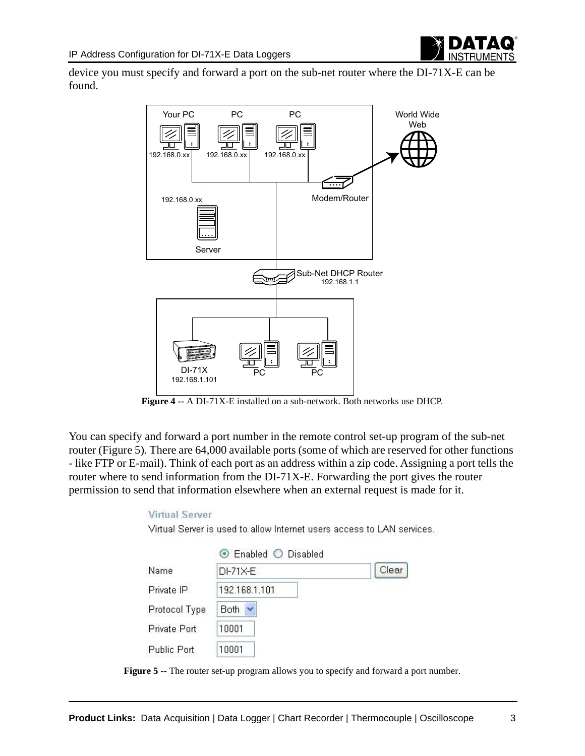

device you must specify and forward a port on the sub-net router where the DI-71X-E can be found.



**Figure 4 --** A DI-71X-E installed on a sub-network. Both networks use DHCP.

You can specify and forward a port number in the remote control set-up program of the sub-net router (Figure 5). There are 64,000 available ports (some of which are reserved for other functions - like FTP or E-mail). Think of each port as an address within a zip code. Assigning a port tells the router where to send information from the DI-71X-E. Forwarding the port gives the router permission to send that information elsewhere when an external request is made for it.

#### **Virtual Server**

Virtual Server is used to allow Internet users access to LAN services.

|               | ⊙ Enabled ○ Disabled |       |
|---------------|----------------------|-------|
| Name          | DI-71X-E             | Clear |
| Private IP    | 192.168.1.101        |       |
| Protocol Type | Both:                |       |
| Private Port  | 10001                |       |
| Public Port   | 10001                |       |

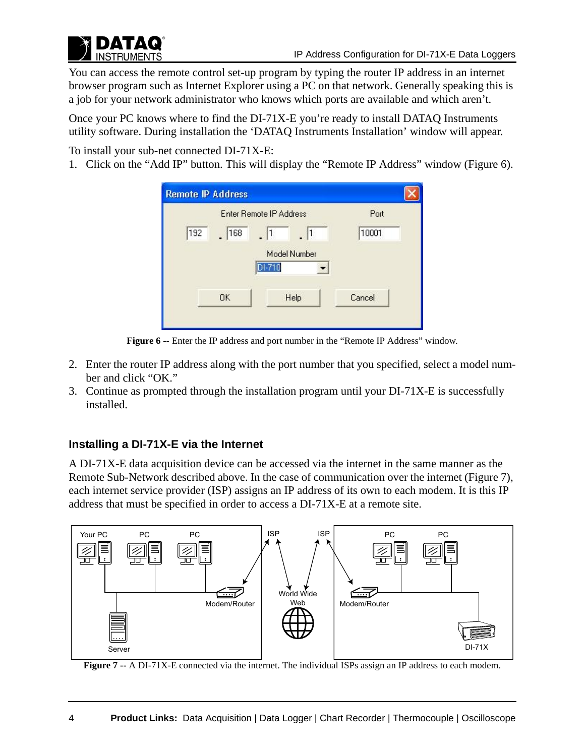You can access the remote control set-up program by typing the router IP address in an internet browser program such as Internet Explorer using a PC on that network. Generally speaking this is a job for your network administrator who knows which ports are available and which aren't.

Once your PC knows where to find the DI-71X-E you're ready to install DATAQ Instruments utility software. During installation the 'DATAQ Instruments Installation' window will appear.

To install your sub-net connected DI-71X-E:

1. Click on the "Add IP" button. This will display the "Remote IP Address" window (Figure 6).

|     | Enter Remote IP Address |        |              | Port   |
|-----|-------------------------|--------|--------------|--------|
| 192 | 168                     |        |              | 10001  |
|     |                         | DI-710 | Model Number |        |
|     | OK                      |        | Help         | Cancel |

**Figure 6 --** Enter the IP address and port number in the "Remote IP Address" window.

- 2. Enter the router IP address along with the port number that you specified, select a model number and click "OK."
- 3. Continue as prompted through the installation program until your DI-71X-E is successfully installed.

# **Installing a DI-71X-E via the Internet**

A DI-71X-E data acquisition device can be accessed via the internet in the same manner as the Remote Sub-Network described above. In the case of communication over the internet (Figure 7), each internet service provider (ISP) assigns an IP address of its own to each modem. It is this IP address that must be specified in order to access a DI-71X-E at a remote site.